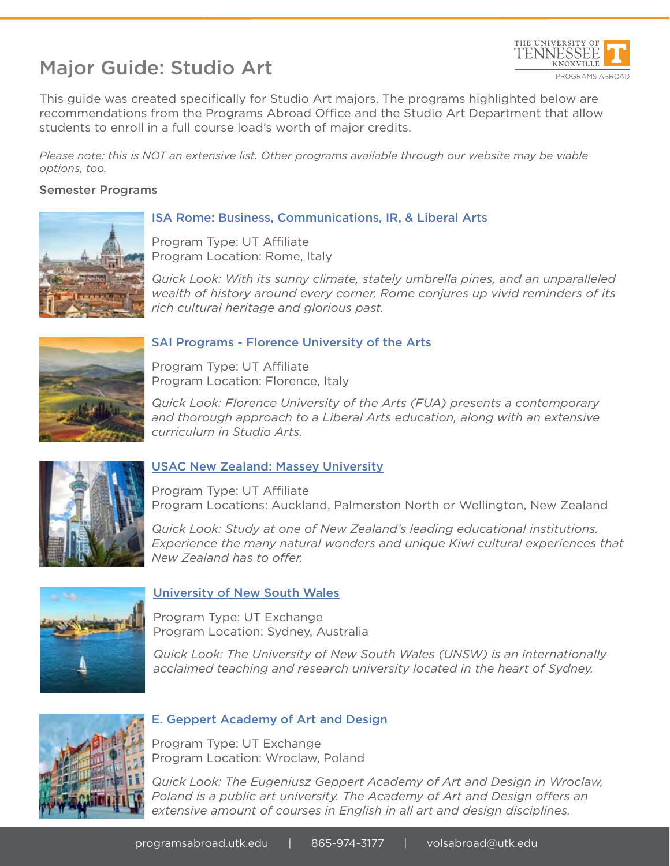# Major Guide: Studio Art



This guide was created specifically for Studio Art majors. The programs highlighted below are recommendations from the Programs Abroad Office and the Studio Art Department that allow students to enroll in a full course load's worth of major credits.

*Please note: this is NOT an extensive list. Other programs available through our website may be viable options, too.*

#### Semester Programs



#### ISA Rome: Business, Communications, IR, & Liberal Arts

Program Type: UT Affiliate Program Location: Rome, Italy

*Quick Look: With its sunny climate, stately umbrella pines, and an unparalleled wealth of history around every corner, Rome conjures up vivid reminders of its rich cultural heritage and glorious past.*



#### SAI Programs - Florence University of the Arts

Program Type: UT Affiliate Program Location: Florence, Italy

*Quick Look: Florence University of the Arts (FUA) presents a contemporary and thorough approach to a Liberal Arts education, along with an extensive curriculum in Studio Arts.*



#### USAC New Zealand: Massey University

Program Type: UT Affiliate Program Locations: Auckland, Palmerston North or Wellington, New Zealand

*Quick Look: Study at one of New Zealand's leading educational institutions. Experience the many natural wonders and unique Kiwi cultural experiences that New Zealand has to offer.*



#### University of New South Wales

Program Type: UT Exchange Program Location: Sydney, Australia

*Quick Look: The University of New South Wales (UNSW) is an internationally acclaimed teaching and research university located in the heart of Sydney.*



#### E. Geppert Academy of Art and Design

Program Type: UT Exchange Program Location: Wroclaw, Poland

*Quick Look: The Eugeniusz Geppert Academy of Art and Design in Wroclaw, Poland is a public art university. The Academy of Art and Design offers an extensive amount of courses in English in all art and design disciplines.*